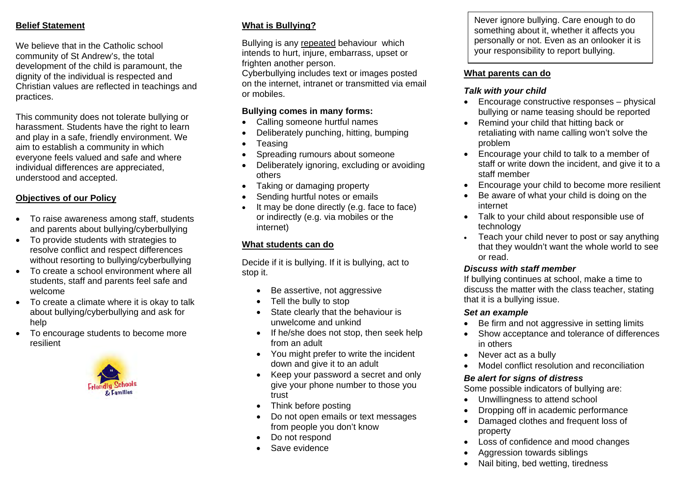#### **Belief Statement**

We believe that in the Catholic school community of St Andrew's, the total development of the child is paramount, the dignity of the individual is respected and Christian values are reflected in teachings and practices.

This community does not tolerate bullying or harassment. Students have the right to learn and play in a safe, friendly environment. We aim to establish a community in which everyone feels valued and safe and where individual differences are appreciated, understood and accepted.

## **Objectives of our Policy**

- To raise awareness among staff, students and parents about bullying/cyberbullying
- To provide students with strategies to resolve conflict and respect differences without resorting to bullying/cyberbullying
- To create a school environment where all students, staff and parents feel safe and welcome
- To create a climate where it is okay to talk about bullying/cyberbullying and ask for help
- To encourage students to become more resilient



## **What is Bullying?**

Bullying is any repeated behaviour which intends to hurt, injure, embarrass, upset or frighten another person.

Cyberbullying includes text or images posted on the internet, intranet or transmitted via email or mobiles.

## **Bullying comes in many forms:**

- Calling someone hurtful names
- Deliberately punching, hitting, bumping
- Teasing
- Spreading rumours about someone
- Deliberately ignoring, excluding or avoiding others
- Taking or damaging property
- Sending hurtful notes or emails
- It may be done directly (e.g. face to face) or indirectly (e.g. via mobiles or the internet)

## **What students can do**

Decide if it is bullying. If it is bullying, act to stop it.

- Be assertive, not aggressive
- Tell the bully to stop
- State clearly that the behaviour is unwelcome and unkind
- If he/she does not stop, then seek help from an adult
- You might prefer to write the incident down and give it to an adult
- Keep your password a secret and only give your phone number to those you trust
- Think before posting
- Do not open emails or text messages from people you don't know
- Do not respond
- Save evidence

Never ignore bullying. Care enough to do something about it, whether it affects you personally or not. Even as an onlooker it is your responsibility to report bullying.

#### **What parents can do**

## *Talk with your child*

- Encourage constructive responses physical bullying or name teasing should be reported
- Remind your child that hitting back or retaliating with name calling won't solve the problem
- Encourage your child to talk to a member of staff or write down the incident, and give it to a staff member
- Encourage your child to become more resilient
- Be aware of what your child is doing on the internet
- Talk to your child about responsible use of technology
- Teach your child never to post or say anything that they wouldn't want the whole world to see or read.

#### *Discuss with staff member*

If bullying continues at school, make a time to discuss the matter with the class teacher, stating that it is a bullying issue.

#### *Set an example*

- Be firm and not aggressive in setting limits
- Show acceptance and tolerance of differences in others
- Never act as a bully
- Model conflict resolution and reconciliation

#### *Be alert for signs of distress*

Some possible indicators of bullying are:

- Unwillingness to attend school
- Dropping off in academic performance
- Damaged clothes and frequent loss of property
- Loss of confidence and mood changes
- Aggression towards siblings
- Nail biting, bed wetting, tiredness